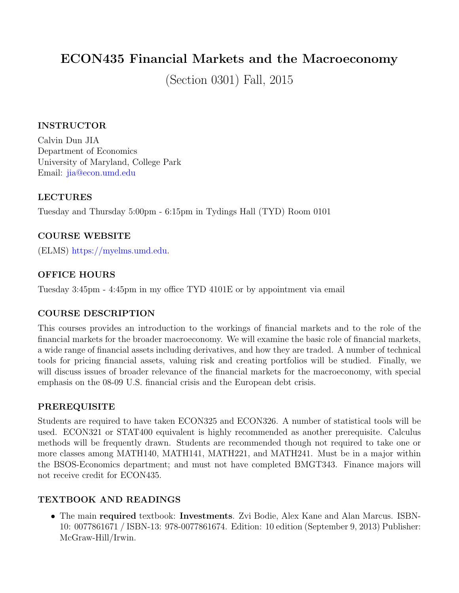# ECON435 Financial Markets and the Macroeconomy

(Section 0301) Fall, 2015

#### INSTRUCTOR

Calvin Dun JIA Department of Economics University of Maryland, College Park Email: [jia@econ.umd.edu](mailto:jia@econ.umd.edu)

#### LECTURES

Tuesday and Thursday 5:00pm - 6:15pm in Tydings Hall (TYD) Room 0101

### COURSE WEBSITE

(ELMS) [https://myelms.umd.edu.](https://myelms.umd.edu)

### OFFICE HOURS

Tuesday 3:45pm - 4:45pm in my office TYD 4101E or by appointment via email

# COURSE DESCRIPTION

This courses provides an introduction to the workings of financial markets and to the role of the financial markets for the broader macroeconomy. We will examine the basic role of financial markets, a wide range of financial assets including derivatives, and how they are traded. A number of technical tools for pricing financial assets, valuing risk and creating portfolios will be studied. Finally, we will discuss issues of broader relevance of the financial markets for the macroeconomy, with special emphasis on the 08-09 U.S. financial crisis and the European debt crisis.

#### PREREQUISITE

Students are required to have taken ECON325 and ECON326. A number of statistical tools will be used. ECON321 or STAT400 equivalent is highly recommended as another prerequisite. Calculus methods will be frequently drawn. Students are recommended though not required to take one or more classes among MATH140, MATH141, MATH221, and MATH241. Must be in a major within the BSOS-Economics department; and must not have completed BMGT343. Finance majors will not receive credit for ECON435.

# TEXTBOOK AND READINGS

• The main required textbook: Investments. Zvi Bodie, Alex Kane and Alan Marcus. ISBN-10: 0077861671 / ISBN-13: 978-0077861674. Edition: 10 edition (September 9, 2013) Publisher: McGraw-Hill/Irwin.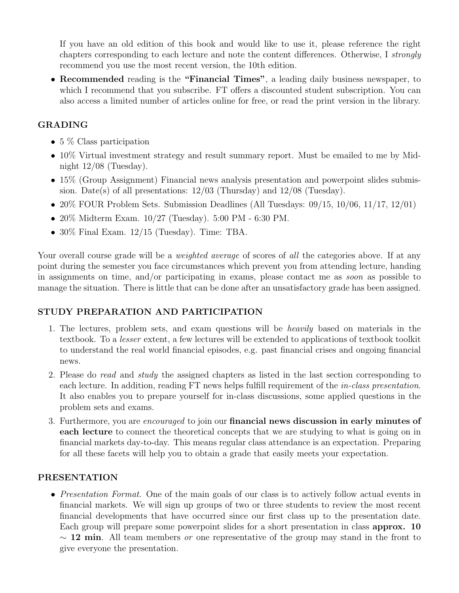If you have an old edition of this book and would like to use it, please reference the right chapters corresponding to each lecture and note the content differences. Otherwise, I strongly recommend you use the most recent version, the 10th edition.

• Recommended reading is the "Financial Times", a leading daily business newspaper, to which I recommend that you subscribe. FT offers a discounted student subscription. You can also access a limited number of articles online for free, or read the print version in the library.

# GRADING

- 5 % Class participation
- 10% Virtual investment strategy and result summary report. Must be emailed to me by Midnight  $12/08$  (Tuesday).
- 15% (Group Assignment) Financial news analysis presentation and powerpoint slides submission. Date(s) of all presentations:  $12/03$  (Thursday) and  $12/08$  (Tuesday).
- 20% FOUR Problem Sets. Submission Deadlines (All Tuesdays: 09/15, 10/06, 11/17, 12/01)
- 20% Midterm Exam. 10/27 (Tuesday). 5:00 PM 6:30 PM.
- 30% Final Exam. 12/15 (Tuesday). Time: TBA.

Your overall course grade will be a *weighted average* of scores of all the categories above. If at any point during the semester you face circumstances which prevent you from attending lecture, handing in assignments on time, and/or participating in exams, please contact me as soon as possible to manage the situation. There is little that can be done after an unsatisfactory grade has been assigned.

# STUDY PREPARATION AND PARTICIPATION

- 1. The lectures, problem sets, and exam questions will be heavily based on materials in the textbook. To a lesser extent, a few lectures will be extended to applications of textbook toolkit to understand the real world financial episodes, e.g. past financial crises and ongoing financial news.
- 2. Please do read and study the assigned chapters as listed in the last section corresponding to each lecture. In addition, reading FT news helps fulfill requirement of the *in-class presentation*. It also enables you to prepare yourself for in-class discussions, some applied questions in the problem sets and exams.
- 3. Furthermore, you are encouraged to join our **financial news discussion in early minutes of** each lecture to connect the theoretical concepts that we are studying to what is going on in financial markets day-to-day. This means regular class attendance is an expectation. Preparing for all these facets will help you to obtain a grade that easily meets your expectation.

# PRESENTATION

• Presentation Format. One of the main goals of our class is to actively follow actual events in financial markets. We will sign up groups of two or three students to review the most recent financial developments that have occurred since our first class up to the presentation date. Each group will prepare some powerpoint slides for a short presentation in class approx. 10  $\sim$  12 min. All team members *or* one representative of the group may stand in the front to give everyone the presentation.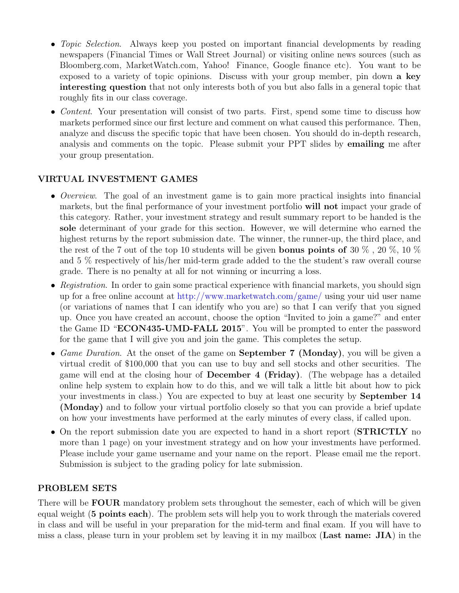- *Topic Selection*. Always keep you posted on important financial developments by reading newspapers (Financial Times or Wall Street Journal) or visiting online news sources (such as Bloomberg.com, MarketWatch.com, Yahoo! Finance, Google finance etc). You want to be exposed to a variety of topic opinions. Discuss with your group member, pin down a key interesting question that not only interests both of you but also falls in a general topic that roughly fits in our class coverage.
- Content. Your presentation will consist of two parts. First, spend some time to discuss how markets performed since our first lecture and comment on what caused this performance. Then, analyze and discuss the specific topic that have been chosen. You should do in-depth research, analysis and comments on the topic. Please submit your PPT slides by emailing me after your group presentation.

### VIRTUAL INVESTMENT GAMES

- *Overview*. The goal of an investment game is to gain more practical insights into financial markets, but the final performance of your investment portfolio will not impact your grade of this category. Rather, your investment strategy and result summary report to be handed is the sole determinant of your grade for this section. However, we will determine who earned the highest returns by the report submission date. The winner, the runner-up, the third place, and the rest of the 7 out of the top 10 students will be given **bonus points of** 30  $\%$ , 20  $\%$ , 10  $\%$ and 5 % respectively of his/her mid-term grade added to the the student's raw overall course grade. There is no penalty at all for not winning or incurring a loss.
- Registration. In order to gain some practical experience with financial markets, you should sign up for a free online account at <http://www.marketwatch.com/game/> using your uid user name (or variations of names that I can identify who you are) so that I can verify that you signed up. Once you have created an account, choose the option "Invited to join a game?" and enter the Game ID "**ECON435-UMD-FALL 2015**". You will be prompted to enter the password for the game that I will give you and join the game. This completes the setup.
- Game Duration. At the onset of the game on **September 7 (Monday)**, you will be given a virtual credit of \$100,000 that you can use to buy and sell stocks and other securities. The game will end at the closing hour of December 4 (Friday). (The webpage has a detailed online help system to explain how to do this, and we will talk a little bit about how to pick your investments in class.) You are expected to buy at least one security by September 14 (Monday) and to follow your virtual portfolio closely so that you can provide a brief update on how your investments have performed at the early minutes of every class, if called upon.
- On the report submission date you are expected to hand in a short report (STRICTLY no more than 1 page) on your investment strategy and on how your investments have performed. Please include your game username and your name on the report. Please email me the report. Submission is subject to the grading policy for late submission.

#### PROBLEM SETS

There will be **FOUR** mandatory problem sets throughout the semester, each of which will be given equal weight (5 points each). The problem sets will help you to work through the materials covered in class and will be useful in your preparation for the mid-term and final exam. If you will have to miss a class, please turn in your problem set by leaving it in my mailbox (Last name: JIA) in the